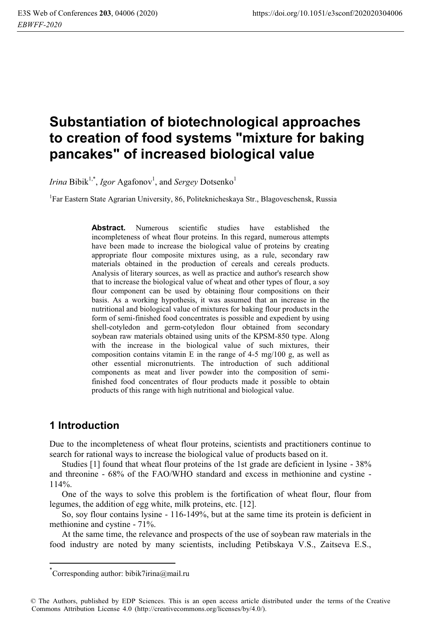# **Substantiation of biotechnological approaches to creation of food systems "mixture for baking pancakes" of increased biological value**

*Irina* Bibik<sup>1,\*</sup>, *Igor* Agafonov<sup>1</sup>, and *Sergey* Dotsenko<sup>1</sup>

<sup>1</sup>Far Eastern State Agrarian University, 86, Politeknicheskaya Str., Blagoveschensk, Russia

**Abstract.** Numerous scientific studies have established the incompleteness of wheat flour proteins. In this regard, numerous attempts have been made to increase the biological value of proteins by creating appropriate flour composite mixtures using, as a rule, secondary raw materials obtained in the production of cereals and cereals products. Analysis of literary sources, as well as practice and author's research show that to increase the biological value of wheat and other types of flour, a soy flour component can be used by obtaining flour compositions on their basis. As a working hypothesis, it was assumed that an increase in the nutritional and biological value of mixtures for baking flour products in the form of semi-finished food concentrates is possible and expedient by using shell-cotyledon and germ-cotyledon flour obtained from secondary soybean raw materials obtained using units of the KPSM-850 type. Along with the increase in the biological value of such mixtures, their composition contains vitamin E in the range of  $4-5$  mg/100 g, as well as other essential micronutrients. The introduction of such additional components as meat and liver powder into the composition of semifinished food concentrates of flour products made it possible to obtain products of this range with high nutritional and biological value.

## **1 Introduction**

l

Due to the incompleteness of wheat flour proteins, scientists and practitioners continue to search for rational ways to increase the biological value of products based on it.

Studies [1] found that wheat flour proteins of the 1st grade are deficient in lysine - 38% and threonine - 68% of the FAO/WHO standard and excess in methionine and cystine - 114%.

One of the ways to solve this problem is the fortification of wheat flour, flour from legumes, the addition of egg white, milk proteins, etc. [12].

So, soy flour contains lysine - 116-149%, but at the same time its protein is deficient in methionine and cystine - 71%.

At the same time, the relevance and prospects of the use of soybean raw materials in the food industry are noted by many scientists, including Petibskaya V.S., Zaitseva E.S.,

<sup>\*</sup> Corresponding author: bibik7irina@mail.ru

<sup>©</sup> The Authors, published by EDP Sciences. This is an open access article distributed under the terms of the Creative Commons Attribution License 4.0 (http://creativecommons.org/licenses/by/4.0/).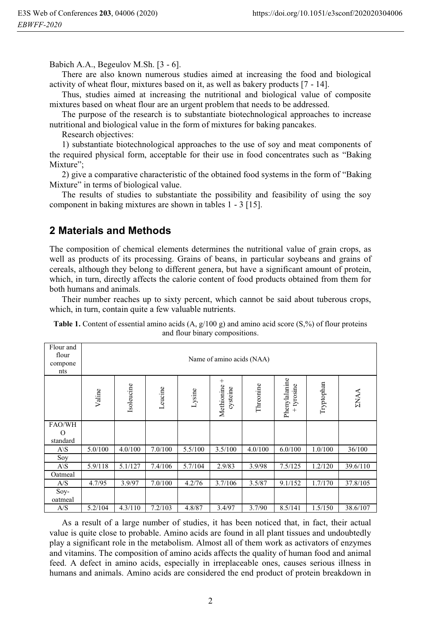Babich A.A., Begeulov M.Sh. [3 - 6].

There are also known numerous studies aimed at increasing the food and biological activity of wheat flour, mixtures based on it, as well as bakery products [7 - 14].

Thus, studies aimed at increasing the nutritional and biological value of composite mixtures based on wheat flour are an urgent problem that needs to be addressed.

The purpose of the research is to substantiate biotechnological approaches to increase nutritional and biological value in the form of mixtures for baking pancakes.

Research objectives:

1) substantiate biotechnological approaches to the use of soy and meat components of the required physical form, acceptable for their use in food concentrates such as "Baking Mixture";

2) give a comparative characteristic of the obtained food systems in the form of "Baking Mixture" in terms of biological value.

The results of studies to substantiate the possibility and feasibility of using the soy component in baking mixtures are shown in tables 1 - 3 [15].

#### **2 Materials and Methods**

The composition of chemical elements determines the nutritional value of grain crops, as well as products of its processing. Grains of beans, in particular soybeans and grains of cereals, although they belong to different genera, but have a significant amount of protein, which, in turn, directly affects the calorie content of food products obtained from them for both humans and animals.

Their number reaches up to sixty percent, which cannot be said about tuberous crops, which, in turn, contain quite a few valuable nutrients.

| Flour and<br>flour<br>compone<br>nts | Name of amino acids (NAA) |            |         |         |                                |           |                           |            |             |  |  |  |
|--------------------------------------|---------------------------|------------|---------|---------|--------------------------------|-----------|---------------------------|------------|-------------|--|--|--|
|                                      | Valine                    | Isoleucine | Leucine | Lysine  | $^+$<br>Methionine<br>cysteine | Threonine | Phenylalanine<br>tyrosine | Tryptophan | <b>ENAA</b> |  |  |  |
| FAO/WH<br>O<br>standard              |                           |            |         |         |                                |           |                           |            |             |  |  |  |
| $A\setminus S$                       | 5.0/100                   | 4.0/100    | 7.0/100 | 5.5/100 | 3.5/100                        | 4.0/100   | 6.0/100                   | 1.0/100    | 36/100      |  |  |  |
| Soy                                  |                           |            |         |         |                                |           |                           |            |             |  |  |  |
| $A\setminus S$                       | 5.9/118                   | 5.1/127    | 7.4/106 | 5.7/104 | 2.9/83                         | 3.9/98    | 7.5/125                   | 1.2/120    | 39.6/110    |  |  |  |
| Oatmeal                              |                           |            |         |         |                                |           |                           |            |             |  |  |  |
| A/S                                  | 4.7/95                    | 3.9/97     | 7.0/100 | 4.2/76  | 3.7/106                        | 3.5/87    | 9.1/152                   | 1.7/170    | 37.8/105    |  |  |  |
| $Sov-$<br>oatmeal                    |                           |            |         |         |                                |           |                           |            |             |  |  |  |
| A/S                                  | 5.2/104                   | 4.3/110    | 7.2/103 | 4.8/87  | 3.4/97                         | 3.7/90    | 8.5/141                   | 1.5/150    | 38.6/107    |  |  |  |

**Table 1.** Content of essential amino acids  $(A, g/100 g)$  and amino acid score (S,%) of flour proteins and flour binary compositions.

As a result of a large number of studies, it has been noticed that, in fact, their actual value is quite close to probable. Amino acids are found in all plant tissues and undoubtedly play a significant role in the metabolism. Almost all of them work as activators of enzymes and vitamins. The composition of amino acids affects the quality of human food and animal feed. A defect in amino acids, especially in irreplaceable ones, causes serious illness in humans and animals. Amino acids are considered the end product of protein breakdown in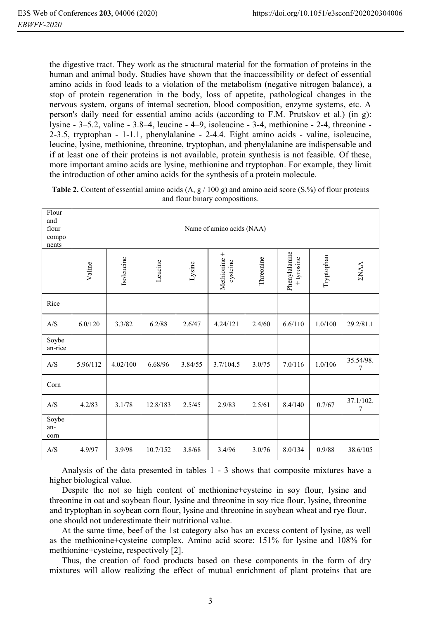the digestive tract. They work as the structural material for the formation of proteins in the human and animal body. Studies have shown that the inaccessibility or defect of essential amino acids in food leads to a violation of the metabolism (negative nitrogen balance), a stop of protein regeneration in the body, loss of appetite, pathological changes in the nervous system, organs of internal secretion, blood composition, enzyme systems, etc. A person's daily need for essential amino acids (according to F.M. Prutskov et al.) (in g): lysine - 3–5.2, valine - 3.8–4, leucine - 4–9, isoleucine - 3-4, methionine - 2-4, threonine - 2-3.5, tryptophan - 1-1.1, phenylalanine - 2-4.4. Eight amino acids - valine, isoleucine, leucine, lysine, methionine, threonine, tryptophan, and phenylalanine are indispensable and if at least one of their proteins is not available, protein synthesis is not feasible. Of these, more important amino acids are lysine, methionine and tryptophan. For example, they limit the introduction of other amino acids for the synthesis of a protein molecule.

| Flour<br>and<br>flour<br>compo<br>nents | Name of amino acids (NAA) |            |          |         |                          |           |                             |            |                |  |  |  |
|-----------------------------------------|---------------------------|------------|----------|---------|--------------------------|-----------|-----------------------------|------------|----------------|--|--|--|
|                                         | Valine                    | Isoleucine | Leucine  | Lysine  | Methionine +<br>cysteine | Threonine | Phenylalanine<br>+ tyrosine | Tryptophan | <b>ZNAA</b>    |  |  |  |
| Rice                                    |                           |            |          |         |                          |           |                             |            |                |  |  |  |
| A/S                                     | 6.0/120                   | 3.3/82     | 6.2/88   | 2.6/47  | 4.24/121                 | 2.4/60    | 6.6/110                     | 1.0/100    | 29.2/81.1      |  |  |  |
| Soybe<br>an-rice                        |                           |            |          |         |                          |           |                             |            |                |  |  |  |
| A/S                                     | 5.96/112                  | 4.02/100   | 6.68/96  | 3.84/55 | 3.7/104.5                | 3.0/75    | 7.0/116                     | 1.0/106    | 35.54/98.<br>7 |  |  |  |
| Corn                                    |                           |            |          |         |                          |           |                             |            |                |  |  |  |
| A/S                                     | 4.2/83                    | 3.1/78     | 12.8/183 | 2.5/45  | 2.9/83                   | 2.5/61    | 8.4/140                     | 0.7/67     | 37.1/102.<br>7 |  |  |  |
| Soybe<br>an-<br>corn                    |                           |            |          |         |                          |           |                             |            |                |  |  |  |
| A/S                                     | 4.9/97                    | 3.9/98     | 10.7/152 | 3.8/68  | 3.4/96                   | 3.0/76    | 8.0/134                     | 0.9/88     | 38.6/105       |  |  |  |

**Table 2.** Content of essential amino acids  $(A, g / 100 g)$  and amino acid score  $(S, %)$  of flour proteins and flour binary compositions.

Analysis of the data presented in tables 1 - 3 shows that composite mixtures have a higher biological value.

Despite the not so high content of methionine+cysteine in soy flour, lysine and threonine in oat and soybean flour, lysine and threonine in soy rice flour, lysine, threonine and tryptophan in soybean corn flour, lysine and threonine in soybean wheat and rye flour, one should not underestimate their nutritional value.

At the same time, beef of the 1st category also has an excess content of lysine, as well as the methionine+cysteine complex. Amino acid score: 151% for lysine and 108% for methionine+cysteine, respectively [2].

Thus, the creation of food products based on these components in the form of dry mixtures will allow realizing the effect of mutual enrichment of plant proteins that are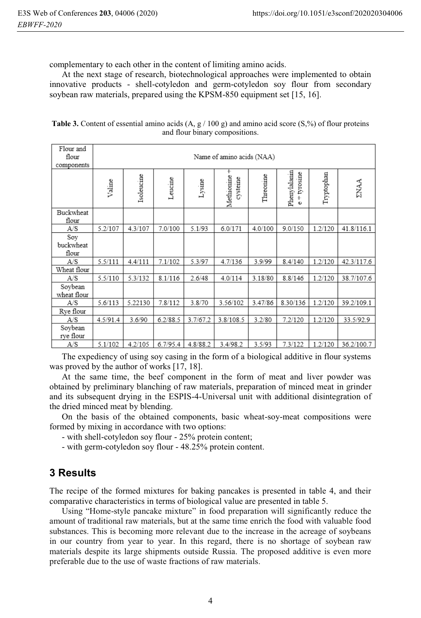complementary to each other in the content of limiting amino acids.

At the next stage of research, biotechnological approaches were implemented to obtain innovative products - shell-cotyledon and germ-cotyledon soy flour from secondary soybean raw materials, prepared using the KPSM-850 equipment set [15, 16].

| Flour and              |                           |            |          |          |                            |           |                              |            |             |  |  |  |  |
|------------------------|---------------------------|------------|----------|----------|----------------------------|-----------|------------------------------|------------|-------------|--|--|--|--|
| flour                  | Name of amino acids (NAA) |            |          |          |                            |           |                              |            |             |  |  |  |  |
| components             |                           |            |          |          |                            |           |                              |            |             |  |  |  |  |
|                        | Valine                    | Isoleucine | Leucine  | Lysine   | +<br>Methionine<br>cysteme | Threonine | Phenylalanın<br>tyrosme<br>O | Tryptophan | <b>ENAA</b> |  |  |  |  |
| Buckwheat              |                           |            |          |          |                            |           |                              |            |             |  |  |  |  |
| flour<br>A/S           | 5.2/107                   | 4.3/107    | 7.0/100  | 5.1/93   | 6.0/171                    | 4.0/100   | 9.0/150                      | 1.2/120    | 41.8/116.1  |  |  |  |  |
| Soy                    |                           |            |          |          |                            |           |                              |            |             |  |  |  |  |
| buckwheat<br>flour     |                           |            |          |          |                            |           |                              |            |             |  |  |  |  |
| A/S                    | 5.5/111                   | 4.4/111    | 7.1/102  | 5.3/97   | 4.7/136                    | 3.9/99    | 8.4/140                      | 1.2/120    | 42.3/117.6  |  |  |  |  |
| Wheat flour            |                           |            |          |          |                            |           |                              |            |             |  |  |  |  |
| A/S                    | 5.5/110                   | 5.3/132    | 8.1/116  | 2.6/48   | 4.0/114                    | 3.18/80   | 8.8/146                      | 1.2/120    | 38.7/107.6  |  |  |  |  |
| Soybean<br>wheat flour |                           |            |          |          |                            |           |                              |            |             |  |  |  |  |
| A/S                    | 5.6/113                   | 5.22130    | 7.8/112  | 3.8/70   | 3.56/102                   | 3.47/86   | 8.30/136                     | 1.2/120    | 39.2/109.1  |  |  |  |  |
| Rye flour              |                           |            |          |          |                            |           |                              |            |             |  |  |  |  |
| A/S                    | 4.5/91.4                  | 3.6/90     | 6.2/88.5 | 3.7/67.2 | 3.8/108.5                  | 3.2/80    | 7.2/120                      | 1.2/120    | 33.5/92.9   |  |  |  |  |
| Soybean<br>rye flour   |                           |            |          |          |                            |           |                              |            |             |  |  |  |  |
| A/S                    | 5.1/102                   | 4.2/105    | 6.7/95.4 | 4.8/88.2 | 3.4/98.2                   | 3.5/93    | 7.3/122                      | 1.2/120    | 36.2/100.7  |  |  |  |  |

**Table 3.** Content of essential amino acids  $(A, g / 100 g)$  and amino acid score  $(S, %)$  of flour proteins and flour binary compositions.

The expediency of using soy casing in the form of a biological additive in flour systems was proved by the author of works [17, 18].

At the same time, the beef component in the form of meat and liver powder was obtained by preliminary blanching of raw materials, preparation of minced meat in grinder and its subsequent drying in the ESPIS-4-Universal unit with additional disintegration of the dried minced meat by blending.

On the basis of the obtained components, basic wheat-soy-meat compositions were formed by mixing in accordance with two options:

- with shell-cotyledon soy flour - 25% protein content;

- with germ-cotyledon soy flour - 48.25% protein content.

#### **3 Results**

The recipe of the formed mixtures for baking pancakes is presented in table 4, and their comparative characteristics in terms of biological value are presented in table 5.

Using "Home-style pancake mixture" in food preparation will significantly reduce the amount of traditional raw materials, but at the same time enrich the food with valuable food substances. This is becoming more relevant due to the increase in the acreage of soybeans in our country from year to year. In this regard, there is no shortage of soybean raw materials despite its large shipments outside Russia. The proposed additive is even more preferable due to the use of waste fractions of raw materials.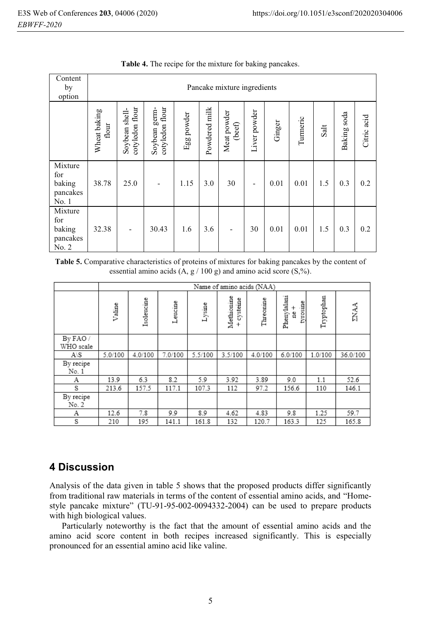| Content<br>by<br>option                       | Pancake mixture ingredients |                                                                                                                     |       |      |     |                          |                          |        |          |      |                 |             |
|-----------------------------------------------|-----------------------------|---------------------------------------------------------------------------------------------------------------------|-------|------|-----|--------------------------|--------------------------|--------|----------|------|-----------------|-------------|
|                                               | Wheat baking<br>flour       | cotyledon flour<br>cotyledon flour<br>Powdered milk<br>Soybean germ-<br>Soybean shell-<br>Meat powder<br>Egg powder |       |      |     | (beef)                   | Liver powder             | Ginger | Turmeric | Salt | soda<br>Baking: | Citric acid |
| Mixture<br>for<br>baking<br>pancakes<br>No.1  | 38.78                       | 25.0                                                                                                                |       | 1.15 | 3.0 | 30                       | $\overline{\phantom{a}}$ | 0.01   | 0.01     | 1.5  | 0.3             | 0.2         |
| Mixture<br>for<br>baking<br>pancakes<br>No. 2 | 32.38                       | $\overline{\phantom{a}}$                                                                                            | 30.43 | 1.6  | 3.6 | $\overline{\phantom{0}}$ | 30                       | 0.01   | 0.01     | 1.5  | 0.3             | 0.2         |

**Table 4.** The recipe for the mixture for baking pancakes.

**Table 5.** Comparative characteristics of proteins of mixtures for baking pancakes by the content of essential amino acids  $(A, g / 100 g)$  and amino acid score  $(S, %)$ .

|                      |         |            |         |         | Name of amino acids (NAA) |           |                              |            |             |
|----------------------|---------|------------|---------|---------|---------------------------|-----------|------------------------------|------------|-------------|
|                      | Valine  | Isoleucine | Leucine | Lysine  | Methionine<br>cysteme     | Threonine | Phenylalani<br>tyrosine<br>å | Tryptophan | <b>ENAA</b> |
| By FAO/<br>WHO scale |         |            |         |         |                           |           |                              |            |             |
| $A \setminus S$      | 5.0/100 | 4.0/100    | 7.0/100 | 5.5/100 | 3.5/100                   | 4.0/100   | 6.0/100                      | 1.0/100    | 36.0/100    |
| By recipe<br>No. 1   |         |            |         |         |                           |           |                              |            |             |
| Α                    | 13.9    | 6.3        | 8.2     | 5.9     | 3.92                      | 3.89      | 9.0                          | 1.1        | 52.6        |
| S                    | 213.6   | 157.5      | 117.1   | 107.3   | 112                       | 97.2      | 156.6                        | 110        | 146.1       |
| By recipe<br>No. 2   |         |            |         |         |                           |           |                              |            |             |
| Α                    | 12.6    | 7.8        | 9.9     | 8.9     | 4.62                      | 4.83      | 9.8                          | 1.25       | 59.7        |
| S                    | 210     | 195        | 141.1   | 161.8   | 132                       | 120.7     | 163.3                        | 125        | 165.8       |

## **4 Discussion**

Analysis of the data given in table 5 shows that the proposed products differ significantly from traditional raw materials in terms of the content of essential amino acids, and "Homestyle pancake mixture" (TU-91-95-002-0094332-2004) can be used to prepare products with high biological values.

Particularly noteworthy is the fact that the amount of essential amino acids and the amino acid score content in both recipes increased significantly. This is especially pronounced for an essential amino acid like valine.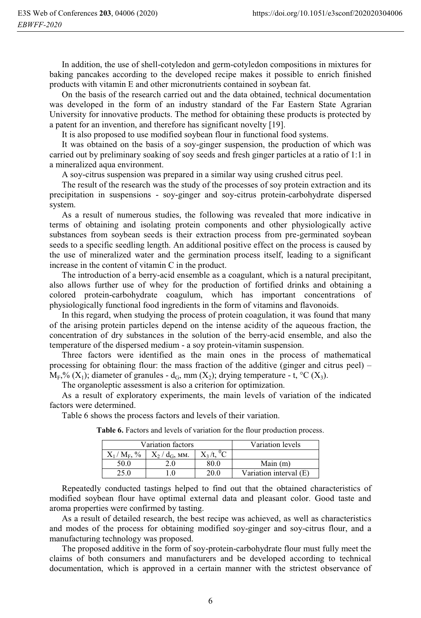In addition, the use of shell-cotyledon and germ-cotyledon compositions in mixtures for baking pancakes according to the developed recipe makes it possible to enrich finished products with vitamin E and other micronutrients contained in soybean fat.

On the basis of the research carried out and the data obtained, technical documentation was developed in the form of an industry standard of the Far Eastern State Agrarian University for innovative products. The method for obtaining these products is protected by a patent for an invention, and therefore has significant novelty [19].

It is also proposed to use modified soybean flour in functional food systems.

It was obtained on the basis of a soy-ginger suspension, the production of which was carried out by preliminary soaking of soy seeds and fresh ginger particles at a ratio of 1:1 in a mineralized aqua environment.

A soy-citrus suspension was prepared in a similar way using crushed citrus peel.

The result of the research was the study of the processes of soy protein extraction and its precipitation in suspensions - soy-ginger and soy-citrus protein-carbohydrate dispersed system.

As a result of numerous studies, the following was revealed that more indicative in terms of obtaining and isolating protein components and other physiologically active substances from soybean seeds is their extraction process from pre-germinated soybean seeds to a specific seedling length. An additional positive effect on the process is caused by the use of mineralized water and the germination process itself, leading to a significant increase in the content of vitamin C in the product.

The introduction of a berry-acid ensemble as a coagulant, which is a natural precipitant, also allows further use of whey for the production of fortified drinks and obtaining a colored protein-carbohydrate coagulum, which has important concentrations of physiologically functional food ingredients in the form of vitamins and flavonoids.

In this regard, when studying the process of protein coagulation, it was found that many of the arising protein particles depend on the intense acidity of the aqueous fraction, the concentration of dry substances in the solution of the berry-acid ensemble, and also the temperature of the dispersed medium - a soy protein-vitamin suspension.

Three factors were identified as the main ones in the process of mathematical processing for obtaining flour: the mass fraction of the additive (ginger and citrus peel) –  $M_F$ % (X<sub>1</sub>); diameter of granules - d<sub>G</sub>, mm (X<sub>2</sub>); drying temperature - t, °C (X<sub>3</sub>).

The organoleptic assessment is also a criterion for optimization.

As a result of exploratory experiments, the main levels of variation of the indicated factors were determined.

Table 6 shows the process factors and levels of their variation.

|                     | Variation factors | Variation levels |                        |  |  |  |
|---------------------|-------------------|------------------|------------------------|--|--|--|
| $X_1/M_{\rm E}$ , % | $X_2/d_G$ , MM.   |                  |                        |  |  |  |
| 50.0                |                   | 80.0             | Main $(m)$             |  |  |  |
|                     | O                 | 20.0             | Variation interval (E) |  |  |  |

**Table 6.** Factors and levels of variation for the flour production process.

Repeatedly conducted tastings helped to find out that the obtained characteristics of modified soybean flour have optimal external data and pleasant color. Good taste and aroma properties were confirmed by tasting.

As a result of detailed research, the best recipe was achieved, as well as characteristics and modes of the process for obtaining modified soy-ginger and soy-citrus flour, and a manufacturing technology was proposed.

The proposed additive in the form of soy-protein-carbohydrate flour must fully meet the claims of both consumers and manufacturers and be developed according to technical documentation, which is approved in a certain manner with the strictest observance of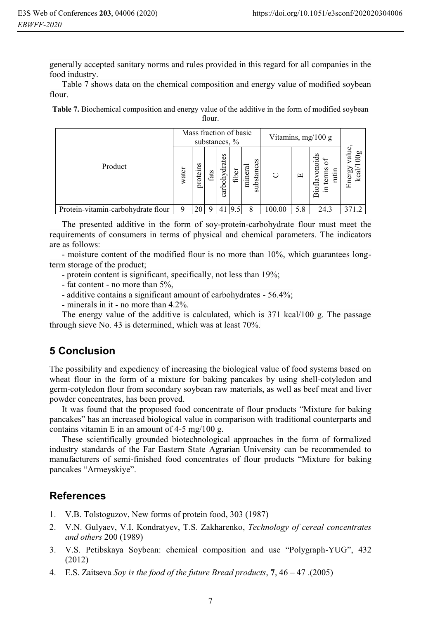generally accepted sanitary norms and rules provided in this regard for all companies in the food industry.

Table 7 shows data on the chemical composition and energy value of modified soybean flour.

**Table 7.** Biochemical composition and energy value of the additive in the form of modified soybean flour.

|                                    | Mass fraction of basic<br>substances, % |          |      |               |       |                         | Vitamins, mg/100 g |     |                                      |                                             |
|------------------------------------|-----------------------------------------|----------|------|---------------|-------|-------------------------|--------------------|-----|--------------------------------------|---------------------------------------------|
| Product                            | water                                   | proteins | fats | carbohydrates | fiber | s<br>substanc<br>minera | O                  | 凹   | 5<br>terms<br>rutin<br>Bioflay<br>.크 | alue,<br><b>b</b><br>Energ<br>ᡂ<br><u>ت</u> |
| Protein-vitamin-carbohydrate flour |                                         | 20       | Ω    | 41            | 19.1  | 8                       | 100.00             | 5.8 | 24.3                                 | 371.2                                       |

The presented additive in the form of soy-protein-carbohydrate flour must meet the requirements of consumers in terms of physical and chemical parameters. The indicators are as follows:

- moisture content of the modified flour is no more than 10%, which guarantees longterm storage of the product;

- protein content is significant, specifically, not less than 19%;
- fat content no more than 5%,
- additive contains a significant amount of carbohydrates 56.4%;
- minerals in it no more than 4.2%.

The energy value of the additive is calculated, which is 371 kcal/100 g. The passage through sieve No. 43 is determined, which was at least 70%.

### **5 Conclusion**

The possibility and expediency of increasing the biological value of food systems based on wheat flour in the form of a mixture for baking pancakes by using shell-cotyledon and germ-cotyledon flour from secondary soybean raw materials, as well as beef meat and liver powder concentrates, has been proved.

It was found that the proposed food concentrate of flour products "Mixture for baking pancakes" has an increased biological value in comparison with traditional counterparts and contains vitamin E in an amount of  $4-5$  mg/ $100$  g.

These scientifically grounded biotechnological approaches in the form of formalized industry standards of the Far Eastern State Agrarian University can be recommended to manufacturers of semi-finished food concentrates of flour products "Mixture for baking pancakes "Armeyskiye".

#### **References**

- 1. V.B. Tolstoguzov, New forms of protein food, 303 (1987)
- 2. V.N. Gulyaev, V.I. Kondratyev, T.S. Zakharenko, *Technology of cereal concentrates and others* 200 (1989)
- 3. V.S. Petibskaya Soybean: chemical composition and use "Polygraph-YUG", 432 (2012)
- 4. E.S. Zaitseva *Soy is the food of the future Bread products*, **7**, 46 47 .(2005)